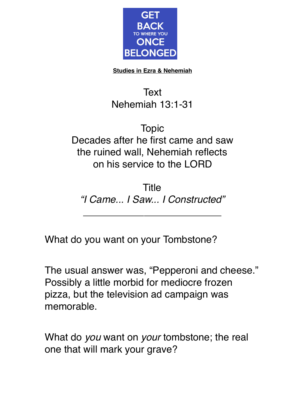

**Studies in Ezra & Nehemiah**

## **Text** Nehemiah 13:1-31

Topic Decades after he first came and saw the ruined wall, Nehemiah reflects on his service to the LORD

Title *"I Came... I Saw... I Constructed"*

 $\overline{\phantom{a}}$  , where  $\overline{\phantom{a}}$  , where  $\overline{\phantom{a}}$  , where  $\overline{\phantom{a}}$  , where  $\overline{\phantom{a}}$ 

What do you want on your Tombstone?

The usual answer was, "Pepperoni and cheese." Possibly a little morbid for mediocre frozen pizza, but the television ad campaign was memorable.

What do *you* want on *your* tombstone; the real one that will mark your grave?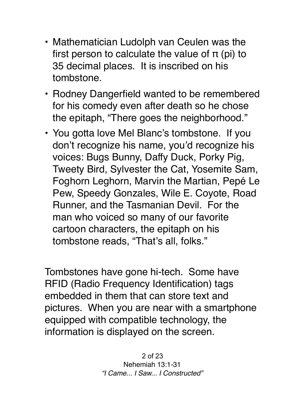- Mathematician Ludolph van Ceulen was the first person to calculate the value of  $\pi$  (pi) to 35 decimal places. It is inscribed on his tombstone.
- Rodney Dangerfield wanted to be remembered for his comedy even after death so he chose the epitaph, "There goes the neighborhood."
- You gotta love Mel Blanc's tombstone. If you don't recognize his name, you'd recognize his voices: [Bugs Bunny,](https://en.m.wikipedia.org/wiki/Bugs_Bunny) [Daffy Duck,](https://en.m.wikipedia.org/wiki/Daffy_Duck) [Porky Pig](https://en.m.wikipedia.org/wiki/Porky_Pig), [Tweety Bird](https://en.m.wikipedia.org/wiki/Tweety), [Sylvester the Cat,](https://en.m.wikipedia.org/wiki/Sylvester_(Looney_Tunes)) [Yosemite Sam,](https://en.m.wikipedia.org/wiki/Yosemite_Sam) [Foghorn Leghorn](https://en.m.wikipedia.org/wiki/Foghorn_Leghorn), [Marvin the Martian](https://en.m.wikipedia.org/wiki/Marvin_the_Martian), [Pepé Le](https://en.m.wikipedia.org/wiki/Pep%C3%A9_Le_Pew)  [Pew,](https://en.m.wikipedia.org/wiki/Pep%C3%A9_Le_Pew) [Speedy Gonzales,](https://en.m.wikipedia.org/wiki/Speedy_Gonzales) [Wile E. Coyote, Road](https://en.m.wikipedia.org/wiki/Wile_E._Coyote_and_the_Road_Runner)  [Runner,](https://en.m.wikipedia.org/wiki/Wile_E._Coyote_and_the_Road_Runner) and the [Tasmanian Devil](https://en.m.wikipedia.org/wiki/Tasmanian_Devil_(Looney_Tunes)). For the man who voiced so many of our favorite cartoon characters, the epitaph on his tombstone reads, "That's all, folks."

Tombstones have gone hi-tech. Some have RFID (Radio Frequency Identification) tags embedded in them that can store text and pictures. When you are near with a smartphone equipped with compatible technology, the information is displayed on the screen.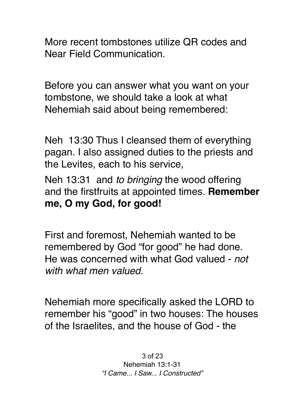More recent tombstones utilize QR codes and Near Field Communication.

Before you can answer what you want on your tombstone, we should take a look at what Nehemiah said about being remembered:

Neh 13:30 Thus I cleansed them of everything pagan. I also assigned duties to the priests and the Levites, each to his service,

Neh 13:31 and *to bringing* the wood offering and the firstfruits at appointed times. **Remember me, O my God, for good!**

First and foremost, Nehemiah wanted to be remembered by God "for good" he had done. He was concerned with what God valued - *not with what men valued.*

Nehemiah more specifically asked the LORD to remember his "good" in two houses: The houses of the Israelites, and the house of God - the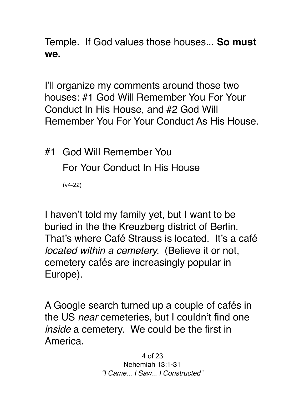Temple. If God values those houses... **So must we.**

I'll organize my comments around those two houses: #1 God Will Remember You For Your Conduct In His House, and #2 God Will Remember You For Your Conduct As His House.

#1 God Will Remember You For Your Conduct In His House (v4-22)

I haven't told my family yet, but I want to be buried in the the Kreuzberg district of Berlin. That's where Café Strauss is located. It's a café *located within a cemetery.* (Believe it or not, cemetery cafés are increasingly popular in Europe).

A Google search turned up a couple of cafés in the US *near* cemeteries, but I couldn't find one *inside* a cemetery. We could be the first in America.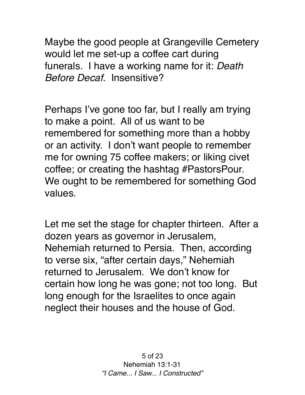Maybe the good people at Grangeville Cemetery would let me set-up a coffee cart during funerals. I have a working name for it: *Death Before Decaf.* Insensitive?

Perhaps I've gone too far, but I really am trying to make a point. All of us want to be remembered for something more than a hobby or an activity. I don't want people to remember me for owning 75 coffee makers; or liking civet coffee; or creating the hashtag #PastorsPour. We ought to be remembered for something God values.

Let me set the stage for chapter thirteen. After a dozen years as governor in Jerusalem, Nehemiah returned to Persia. Then, according to verse six, "after certain days," Nehemiah returned to Jerusalem. We don't know for certain how long he was gone; not too long. But long enough for the Israelites to once again neglect their houses and the house of God.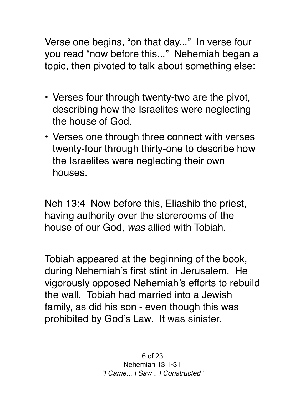Verse one begins, "on that day..." In verse four you read "now before this..." Nehemiah began a topic, then pivoted to talk about something else:

- Verses four through twenty-two are the pivot, describing how the Israelites were neglecting the house of God.
- Verses one through three connect with verses twenty-four through thirty-one to describe how the Israelites were neglecting their own houses.

Neh 13:4 Now before this, Eliashib the priest, having authority over the storerooms of the house of our God, *was* allied with Tobiah.

Tobiah appeared at the beginning of the book, during Nehemiah's first stint in Jerusalem. He vigorously opposed Nehemiah's efforts to rebuild the wall. Tobiah had married into a Jewish family, as did his son - even though this was prohibited by God's Law. It was sinister.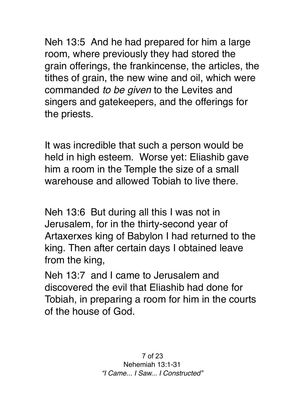Neh 13:5 And he had prepared for him a large room, where previously they had stored the grain offerings, the frankincense, the articles, the tithes of grain, the new wine and oil, which were commanded *to be given* to the Levites and singers and gatekeepers, and the offerings for the priests.

It was incredible that such a person would be held in high esteem. Worse yet: Eliashib gave him a room in the Temple the size of a small warehouse and allowed Tobiah to live there.

Neh 13:6 But during all this I was not in Jerusalem, for in the thirty-second year of Artaxerxes king of Babylon I had returned to the king. Then after certain days I obtained leave from the king,

Neh 13:7 and I came to Jerusalem and discovered the evil that Eliashib had done for Tobiah, in preparing a room for him in the courts of the house of God.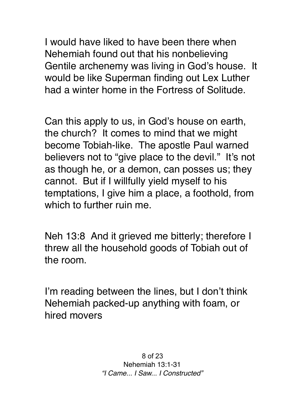I would have liked to have been there when Nehemiah found out that his nonbelieving Gentile archenemy was living in God's house. It would be like Superman finding out Lex Luther had a winter home in the Fortress of Solitude.

Can this apply to us, in God's house on earth, the church? It comes to mind that we might become Tobiah-like. The apostle Paul warned believers not to "give place to the devil." It's not as though he, or a demon, can posses us; they cannot. But if I willfully yield myself to his temptations, I give him a place, a foothold, from which to further ruin me.

Neh 13:8 And it grieved me bitterly; therefore I threw all the household goods of Tobiah out of the room.

I'm reading between the lines, but I don't think Nehemiah packed-up anything with foam, or hired movers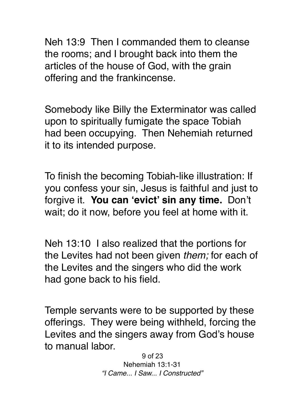Neh 13:9 Then I commanded them to cleanse the rooms; and I brought back into them the articles of the house of God, with the grain offering and the frankincense.

Somebody like Billy the Exterminator was called upon to spiritually fumigate the space Tobiah had been occupying. Then Nehemiah returned it to its intended purpose.

To finish the becoming Tobiah-like illustration: If you confess your sin, Jesus is faithful and just to forgive it. **You can 'evict' sin any time.** Don't wait; do it now, before you feel at home with it.

Neh 13:10 I also realized that the portions for the Levites had not been given *them;* for each of the Levites and the singers who did the work had gone back to his field.

Temple servants were to be supported by these offerings. They were being withheld, forcing the Levites and the singers away from God's house to manual labor.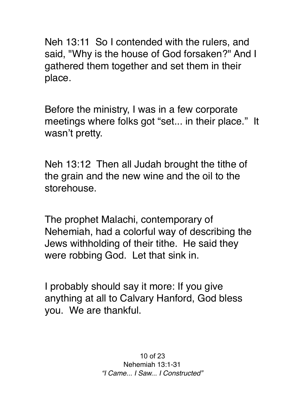Neh 13:11 So I contended with the rulers, and said, "Why is the house of God forsaken?" And I gathered them together and set them in their place.

Before the ministry, I was in a few corporate meetings where folks got "set... in their place." It wasn't pretty.

Neh 13:12 Then all Judah brought the tithe of the grain and the new wine and the oil to the storehouse.

The prophet Malachi, contemporary of Nehemiah, had a colorful way of describing the Jews withholding of their tithe. He said they were robbing God. Let that sink in.

I probably should say it more: If you give anything at all to Calvary Hanford, God bless you. We are thankful.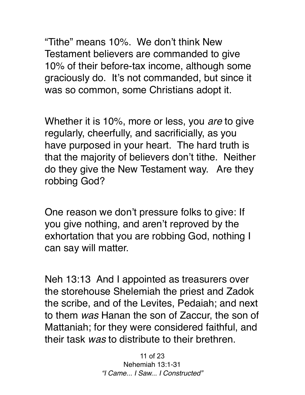"Tithe" means 10%. We don't think New Testament believers are commanded to give 10% of their before-tax income, although some graciously do. It's not commanded, but since it was so common, some Christians adopt it.

Whether it is 10%, more or less, you *are* to give regularly, cheerfully, and sacrificially, as you have purposed in your heart. The hard truth is that the majority of believers don't tithe. Neither do they give the New Testament way. Are they robbing God?

One reason we don't pressure folks to give: If you give nothing, and aren't reproved by the exhortation that you are robbing God, nothing I can say will matter.

Neh 13:13 And I appointed as treasurers over the storehouse Shelemiah the priest and Zadok the scribe, and of the Levites, Pedaiah; and next to them *was* Hanan the son of Zaccur, the son of Mattaniah; for they were considered faithful, and their task *was* to distribute to their brethren.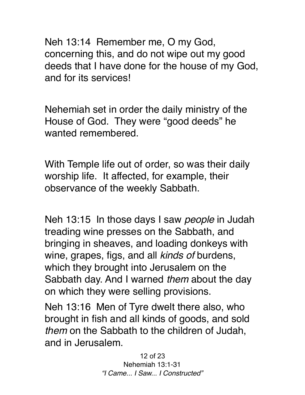Neh 13:14 Remember me, O my God, concerning this, and do not wipe out my good deeds that I have done for the house of my God, and for its services!

Nehemiah set in order the daily ministry of the House of God. They were "good deeds" he wanted remembered.

With Temple life out of order, so was their daily worship life. It affected, for example, their observance of the weekly Sabbath.

Neh 13:15 In those days I saw *people* in Judah treading wine presses on the Sabbath, and bringing in sheaves, and loading donkeys with wine, grapes, figs, and all *kinds of* burdens, which they brought into Jerusalem on the Sabbath day. And I warned *them* about the day on which they were selling provisions.

Neh 13:16 Men of Tyre dwelt there also, who brought in fish and all kinds of goods, and sold *them* on the Sabbath to the children of Judah, and in Jerusalem.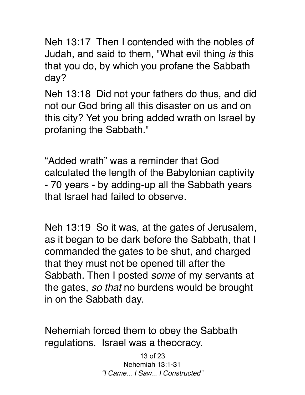Neh 13:17 Then I contended with the nobles of Judah, and said to them, "What evil thing *is* this that you do, by which you profane the Sabbath day?

Neh 13:18 Did not your fathers do thus, and did not our God bring all this disaster on us and on this city? Yet you bring added wrath on Israel by profaning the Sabbath."

"Added wrath" was a reminder that God calculated the length of the Babylonian captivity - 70 years - by adding-up all the Sabbath years that Israel had failed to observe.

Neh 13:19 So it was, at the gates of Jerusalem, as it began to be dark before the Sabbath, that I commanded the gates to be shut, and charged that they must not be opened till after the Sabbath. Then I posted *some* of my servants at the gates, *so that* no burdens would be brought in on the Sabbath day.

Nehemiah forced them to obey the Sabbath regulations. Israel was a theocracy.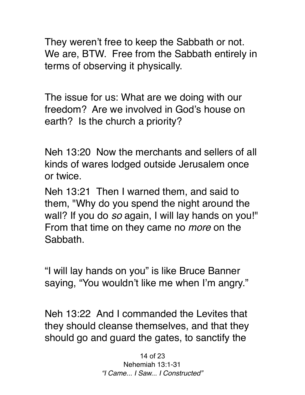They weren't free to keep the Sabbath or not. We are, BTW. Free from the Sabbath entirely in terms of observing it physically.

The issue for us: What are we doing with our freedom? Are we involved in God's house on earth? Is the church a priority?

Neh 13:20 Now the merchants and sellers of all kinds of wares lodged outside Jerusalem once or twice.

Neh 13:21 Then I warned them, and said to them, "Why do you spend the night around the wall? If you do *so* again, I will lay hands on you!" From that time on they came no *more* on the Sabbath.

"I will lay hands on you" is like Bruce Banner saying, "You wouldn't like me when I'm angry."

Neh 13:22 And I commanded the Levites that they should cleanse themselves, and that they should go and guard the gates, to sanctify the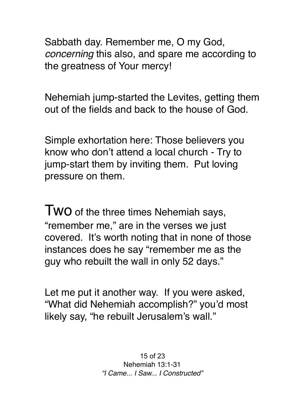Sabbath day. Remember me, O my God, *concerning* this also, and spare me according to the greatness of Your mercy!

Nehemiah jump-started the Levites, getting them out of the fields and back to the house of God.

Simple exhortation here: Those believers you know who don't attend a local church - Try to jump-start them by inviting them. Put loving pressure on them.

TWO of the three times Nehemiah says, "remember me," are in the verses we just covered. It's worth noting that in none of those instances does he say "remember me as the guy who rebuilt the wall in only 52 days."

Let me put it another way. If you were asked, "What did Nehemiah accomplish?" you'd most likely say, "he rebuilt Jerusalem's wall."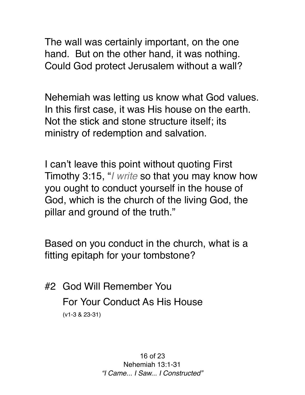The wall was certainly important, on the one hand. But on the other hand, it was nothing. Could God protect Jerusalem without a wall?

Nehemiah was letting us know what God values. In this first case, it was His house on the earth. Not the stick and stone structure itself; its ministry of redemption and salvation.

I can't leave this point without quoting First Timothy 3:15, "*I write* so that you may know how you ought to conduct yourself in the house of God, which is the church of the living God, the pillar and ground of the truth."

Based on you conduct in the church, what is a fitting epitaph for your tombstone?

#2 God Will Remember You For Your Conduct As His House (v1-3 & 23-31)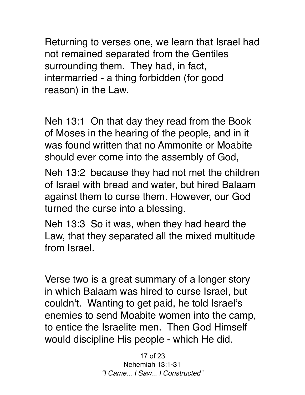Returning to verses one, we learn that Israel had not remained separated from the Gentiles surrounding them. They had, in fact, intermarried - a thing forbidden (for good reason) in the Law.

Neh 13:1 On that day they read from the Book of Moses in the hearing of the people, and in it was found written that no Ammonite or Moabite should ever come into the assembly of God,

Neh 13:2 because they had not met the children of Israel with bread and water, but hired Balaam against them to curse them. However, our God turned the curse into a blessing.

Neh 13:3 So it was, when they had heard the Law, that they separated all the mixed multitude from Israel.

Verse two is a great summary of a longer story in which Balaam was hired to curse Israel, but couldn't. Wanting to get paid, he told Israel's enemies to send Moabite women into the camp, to entice the Israelite men. Then God Himself would discipline His people - which He did.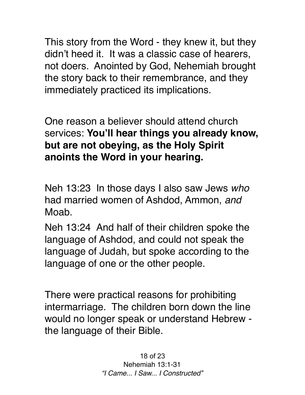This story from the Word - they knew it, but they didn't heed it. It was a classic case of hearers, not doers. Anointed by God, Nehemiah brought the story back to their remembrance, and they immediately practiced its implications.

One reason a believer should attend church services: **You'll hear things you already know, but are not obeying, as the Holy Spirit anoints the Word in your hearing.** 

Neh 13:23 In those days I also saw Jews *who* had married women of Ashdod, Ammon, *and* Moab.

Neh 13:24 And half of their children spoke the language of Ashdod, and could not speak the language of Judah, but spoke according to the language of one or the other people.

There were practical reasons for prohibiting intermarriage. The children born down the line would no longer speak or understand Hebrew the language of their Bible.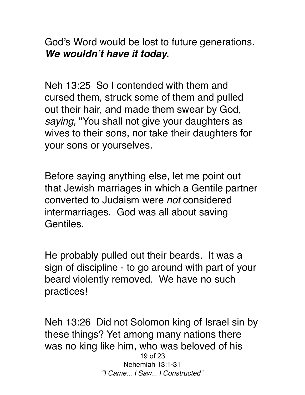God's Word would be lost to future generations. *We wouldn't have it today.* 

Neh 13:25 So I contended with them and cursed them, struck some of them and pulled out their hair, and made them swear by God, *saying,* "You shall not give your daughters as wives to their sons, nor take their daughters for your sons or yourselves.

Before saying anything else, let me point out that Jewish marriages in which a Gentile partner converted to Judaism were *not* considered intermarriages. God was all about saving Gentiles.

He probably pulled out their beards. It was a sign of discipline - to go around with part of your beard violently removed. We have no such practices!

Neh 13:26 Did not Solomon king of Israel sin by these things? Yet among many nations there was no king like him, who was beloved of his 19 of 23 Nehemiah 13:1-31 *"I Came... I Saw... I Constructed"*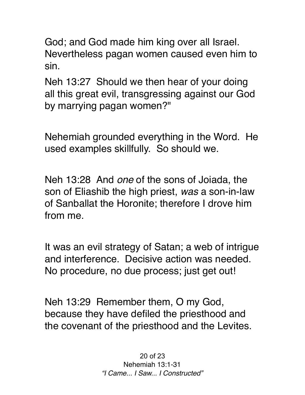God; and God made him king over all Israel. Nevertheless pagan women caused even him to sin.

Neh 13:27 Should we then hear of your doing all this great evil, transgressing against our God by marrying pagan women?"

Nehemiah grounded everything in the Word. He used examples skillfully. So should we.

Neh 13:28 And *one* of the sons of Joiada, the son of Eliashib the high priest, *was* a son-in-law of Sanballat the Horonite; therefore I drove him from me.

It was an evil strategy of Satan; a web of intrigue and interference. Decisive action was needed. No procedure, no due process; just get out!

Neh 13:29 Remember them, O my God, because they have defiled the priesthood and the covenant of the priesthood and the Levites.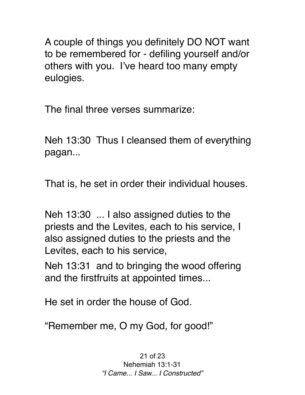A couple of things you definitely DO NOT want to be remembered for - defiling yourself and/or others with you. I've heard too many empty eulogies.

The final three verses summarize:

Neh 13:30 Thus I cleansed them of everything pagan...

That is, he set in order their individual houses.

Neh 13:30 ... I also assigned duties to the priests and the Levites, each to his service, I also assigned duties to the priests and the Levites, each to his service,

Neh 13:31 and to bringing the wood offering and the firstfruits at appointed times...

He set in order the house of God.

"Remember me, O my God, for good!"